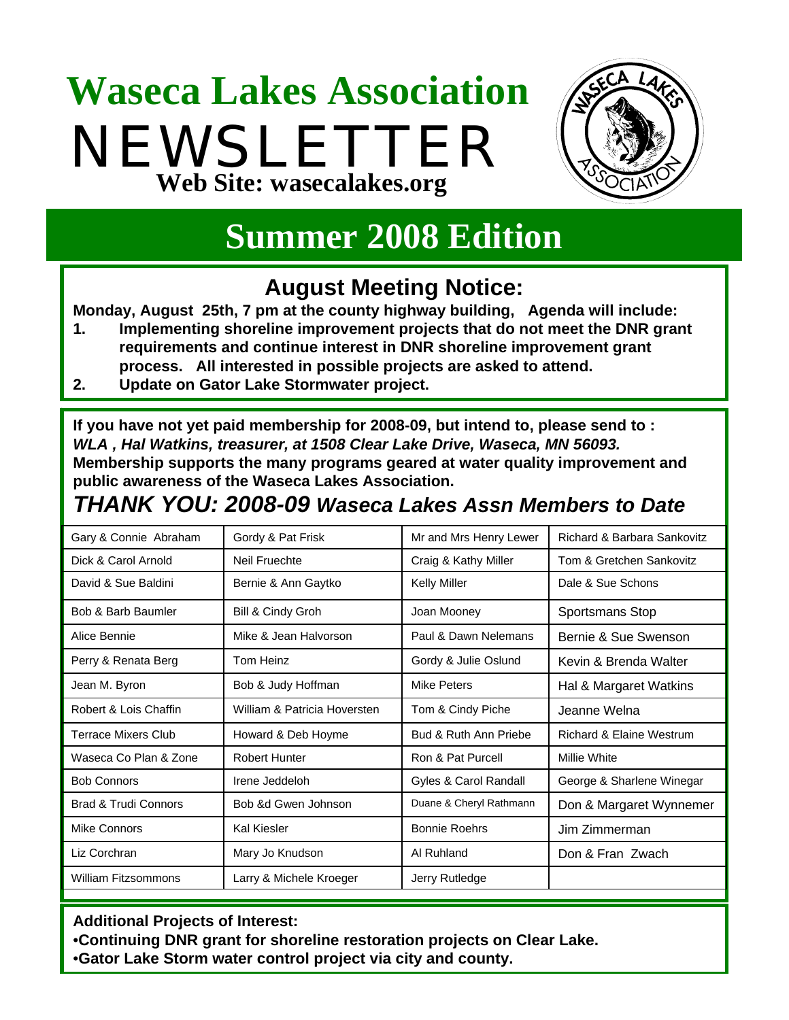## **Waseca Lakes Association** NEWSLETTER **Web Site: wasecalakes.org**



## **Summer 2008 Edition**

### **August Meeting Notice:**

**Monday, August 25th, 7 pm at the county highway building, Agenda will include:**

- **1. Implementing shoreline improvement projects that do not meet the DNR grant requirements and continue interest in DNR shoreline improvement grant process. All interested in possible projects are asked to attend.**
- **2. Update on Gator Lake Stormwater project.**

**If you have not yet paid membership for 2008-09, but intend to, please send to :**  *WLA , Hal Watkins, treasurer, at 1508 Clear Lake Drive, Waseca, MN 56093.*

**Membership supports the many programs geared at water quality improvement and public awareness of the Waseca Lakes Association.** 

#### *THANK YOU: 2008-09 Waseca Lakes Assn Members to Date*

| Gary & Connie Abraham           | Gordy & Pat Frisk            | Mr and Mrs Henry Lewer  | Richard & Barbara Sankovitz         |
|---------------------------------|------------------------------|-------------------------|-------------------------------------|
| Dick & Carol Arnold             | Neil Fruechte                | Craig & Kathy Miller    | Tom & Gretchen Sankovitz            |
| David & Sue Baldini             | Bernie & Ann Gaytko          | <b>Kelly Miller</b>     | Dale & Sue Schons                   |
| Bob & Barb Baumler              | Bill & Cindy Groh            | Joan Mooney             | Sportsmans Stop                     |
| Alice Bennie                    | Mike & Jean Halvorson        | Paul & Dawn Nelemans    | Bernie & Sue Swenson                |
| Perry & Renata Berg             | Tom Heinz                    | Gordy & Julie Oslund    | Kevin & Brenda Walter               |
| Jean M. Byron                   | Bob & Judy Hoffman           | Mike Peters             | Hal & Margaret Watkins              |
| Robert & Lois Chaffin           | William & Patricia Hoversten | Tom & Cindy Piche       | Jeanne Welna                        |
| <b>Terrace Mixers Club</b>      | Howard & Deb Hoyme           | Bud & Ruth Ann Priebe   | <b>Richard &amp; Elaine Westrum</b> |
| Waseca Co Plan & Zone           | <b>Robert Hunter</b>         | Ron & Pat Purcell       | Millie White                        |
| <b>Bob Connors</b>              | Irene Jeddeloh               | Gyles & Carol Randall   | George & Sharlene Winegar           |
| <b>Brad &amp; Trudi Connors</b> | Bob &d Gwen Johnson          | Duane & Cheryl Rathmann | Don & Margaret Wynnemer             |
| Mike Connors                    | <b>Kal Kiesler</b>           | <b>Bonnie Roehrs</b>    | Jim Zimmerman                       |
| Liz Corchran                    | Mary Jo Knudson              | Al Ruhland              | Don & Fran Zwach                    |
| <b>William Fitzsommons</b>      | Larry & Michele Kroeger      | Jerry Rutledge          |                                     |

**Additional Projects of Interest:**

•**Continuing DNR grant for shoreline restoration projects on Clear Lake.** •**Gator Lake Storm water control project via city and county.**